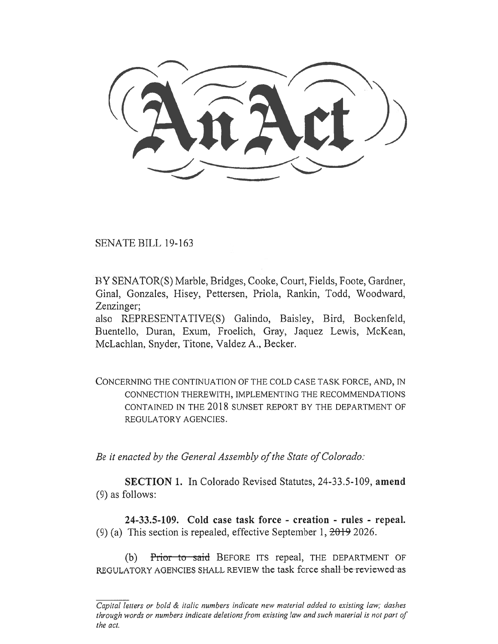LAn Act , and the contract of  $\sim$ 

SENATE BILL 19-163

BY SENATOR(S) Marble, Bridges, Cooke, Court, Fields, Foote, Gardner, Ginal, Gonzales, Hisey, Pettersen, Priola, Rankin, Todd, Woodward, Zenzinger;

also REPRESENTATIVE(S) Galindo, Baisley, Bird, Bockenfeld, Buentello, Duran, Exum, Froelich, Gray, Jaquez Lewis, McKean, McLachlan, Snyder, Titone, Valdez A., Becker.

CONCERNING THE CONTINUATION OF THE COLD CASE TASK FORCE, AND, IN CONNECTION THEREWITH, IMPLEMENTING THE RECOMMENDATIONS CONTAINED IN THE 2018 SUNSET REPORT BY THE DEPARTMENT OF REGULATORY AGENCIES.

*Be it enacted by the General Assembly of the State of Colorado:* 

**SECTION 1.** In Colorado Revised Statutes, 24-33.5-109, **amend**  (9) as follows:

**24-33.5-109. Cold case task force - creation - rules - repeal.**  (9) (a) This section is repealed, effective September 1, 2019 2026.

(b) Prior to said BEFORE ITS repeal, THE DEPARTMENT OF REGULATORY AGENCIES SHALL REVIEW the task force shall be reviewed as

*Capital letters or bold & italic numbers indicate new material added to existing law; dashes through words or numbers indicate deletions from existing law and such material is not part of the act.*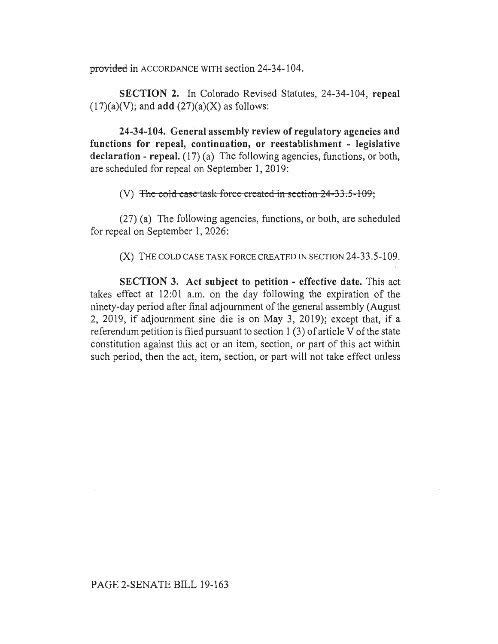provided in ACCORDANCE WITH section 24-34-104.

**SECTION 2.** In Colorado Revised Statutes, 24-34-104, **repeal**   $(17)(a)(V)$ ; and **add**  $(27)(a)(X)$  as follows:

**24-34-104. General assembly review of regulatory agencies and functions for repeal, continuation, or reestablishment - legislative**  declaration - repeal. (17) (a) The following agencies, functions, or both, are scheduled for repeal on September 1, 2019:

(V) The cold case-task force created in section  $24-33.5-109$ ;

(27) (a) The following agencies, functions, or both, are scheduled for repeal on September 1, 2026:

(X) THE COLD CASE TASK FORCE CREATED IN SECTION 24-33.5-109.

**SECTION 3. Act subject to petition - effective date.** This act takes effect at 12:01 a.m. on the day following the expiration of the ninety-day period after final adjournment of the general assembly (August 2, 2019, if adjournment sine die is on May 3, 2019); except that, if a referendum petition is filed pursuant to section 1 (3) of article V of the state constitution against this act or an item, section, or part of this act within such period, then the act, item, section, or part will not take effect unless